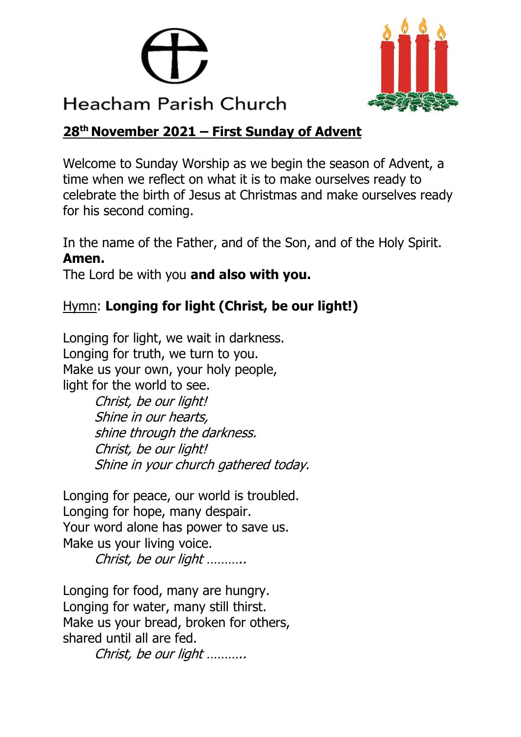



## **28 th November 2021 – First Sunday of Advent**

Welcome to Sunday Worship as we begin the season of Advent, a time when we reflect on what it is to make ourselves ready to celebrate the birth of Jesus at Christmas and make ourselves ready for his second coming.

In the name of the Father, and of the Son, and of the Holy Spirit. **Amen.**

The Lord be with you **and also with you.**

# Hymn: **Longing for light (Christ, be our light!)**

Longing for light, we wait in darkness. Longing for truth, we turn to you. Make us your own, your holy people, light for the world to see.

> Christ, be our light! Shine in our hearts, shine through the darkness. Christ, be our light! Shine in your church gathered today.

Longing for peace, our world is troubled. Longing for hope, many despair. Your word alone has power to save us. Make us your living voice.

Christ, be our light ………..

Longing for food, many are hungry. Longing for water, many still thirst. Make us your bread, broken for others, shared until all are fed.

Christ, be our light ………..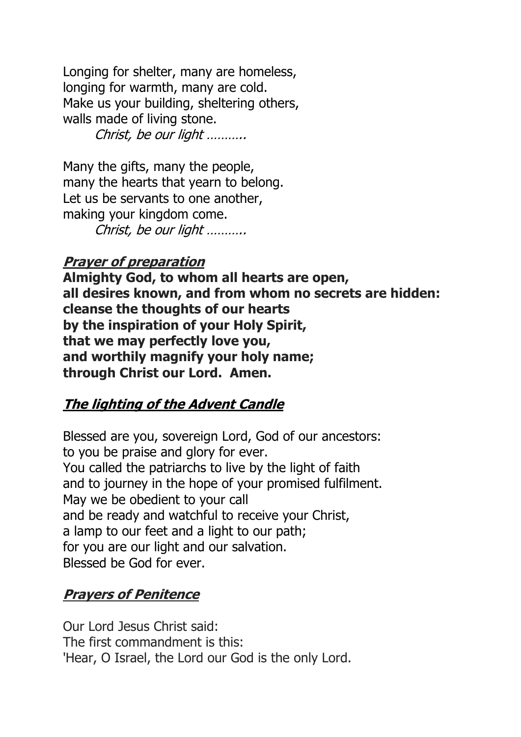Longing for shelter, many are homeless, longing for warmth, many are cold. Make us your building, sheltering others, walls made of living stone. Christ, be our light ………..

Many the gifts, many the people, many the hearts that yearn to belong. Let us be servants to one another, making your kingdom come. Christ, be our light ………..

### **Prayer of preparation**

**Almighty God, to whom all hearts are open, all desires known, and from whom no secrets are hidden: cleanse the thoughts of our hearts by the inspiration of your Holy Spirit, that we may perfectly love you, and worthily magnify your holy name; through Christ our Lord. Amen.**

### **The lighting of the Advent Candle**

Blessed are you, sovereign Lord, God of our ancestors: to you be praise and glory for ever. You called the patriarchs to live by the light of faith and to journey in the hope of your promised fulfilment. May we be obedient to your call and be ready and watchful to receive your Christ, a lamp to our feet and a light to our path; for you are our light and our salvation. Blessed be God for ever.

### **Prayers of Penitence**

Our Lord Jesus Christ said: The first commandment is this: 'Hear, O Israel, the Lord our God is the only Lord.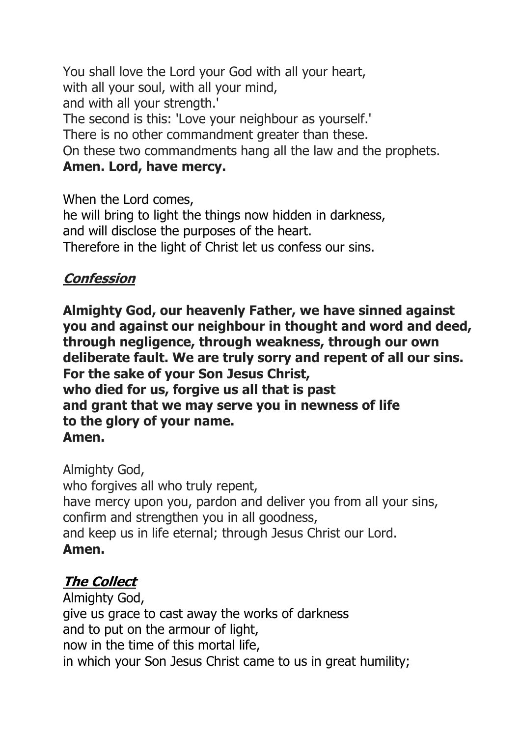You shall love the Lord your God with all your heart, with all your soul, with all your mind, and with all your strength.' The second is this: 'Love your neighbour as yourself.' There is no other commandment greater than these. On these two commandments hang all the law and the prophets.

## **Amen. Lord, have mercy.**

When the Lord comes, he will bring to light the things now hidden in darkness, and will disclose the purposes of the heart. Therefore in the light of Christ let us confess our sins.

# **Confession**

**Almighty God, our heavenly Father, we have sinned against you and against our neighbour in thought and word and deed, through negligence, through weakness, through our own deliberate fault. We are truly sorry and repent of all our sins. For the sake of your Son Jesus Christ, who died for us, forgive us all that is past and grant that we may serve you in newness of life to the glory of your name. Amen.**

Almighty God, who forgives all who truly repent, have mercy upon you, pardon and deliver you from all your sins, confirm and strengthen you in all goodness, and keep us in life eternal; through Jesus Christ our Lord. **Amen.**

# **The Collect**

Almighty God, give us grace to cast away the works of darkness and to put on the armour of light, now in the time of this mortal life, in which your Son Jesus Christ came to us in great humility;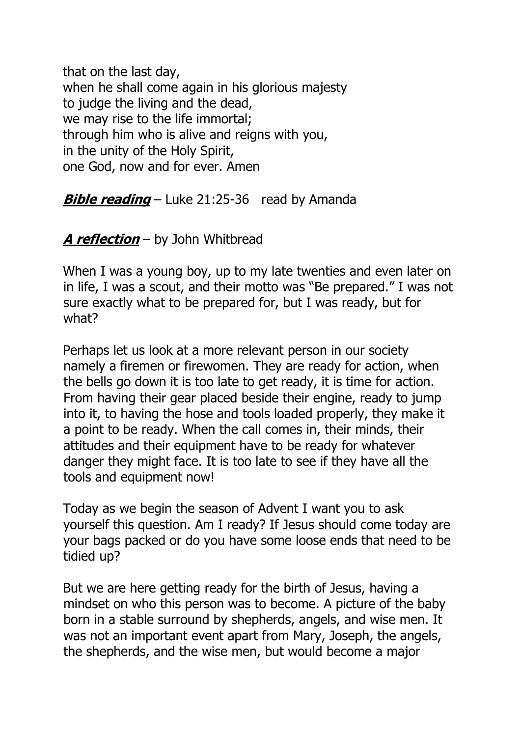that on the last day, when he shall come again in his glorious majesty to judge the living and the dead, we may rise to the life immortal; through him who is alive and reigns with you, in the unity of the Holy Spirit, one God, now and for ever. Amen

**Bible reading** – Luke 21:25-36 read by Amanda

### **A reflection** – by John Whitbread

When I was a young boy, up to my late twenties and even later on in life, I was a scout, and their motto was "Be prepared." I was not sure exactly what to be prepared for, but I was ready, but for what?

Perhaps let us look at a more relevant person in our society namely a firemen or firewomen. They are ready for action, when the bells go down it is too late to get ready, it is time for action. From having their gear placed beside their engine, ready to jump into it, to having the hose and tools loaded properly, they make it a point to be ready. When the call comes in, their minds, their attitudes and their equipment have to be ready for whatever danger they might face. It is too late to see if they have all the tools and equipment now!

Today as we begin the season of Advent I want you to ask yourself this question. Am I ready? If Jesus should come today are your bags packed or do you have some loose ends that need to be tidied up?

But we are here getting ready for the birth of Jesus, having a mindset on who this person was to become. A picture of the baby born in a stable surround by shepherds, angels, and wise men. It was not an important event apart from Mary, Joseph, the angels, the shepherds, and the wise men, but would become a major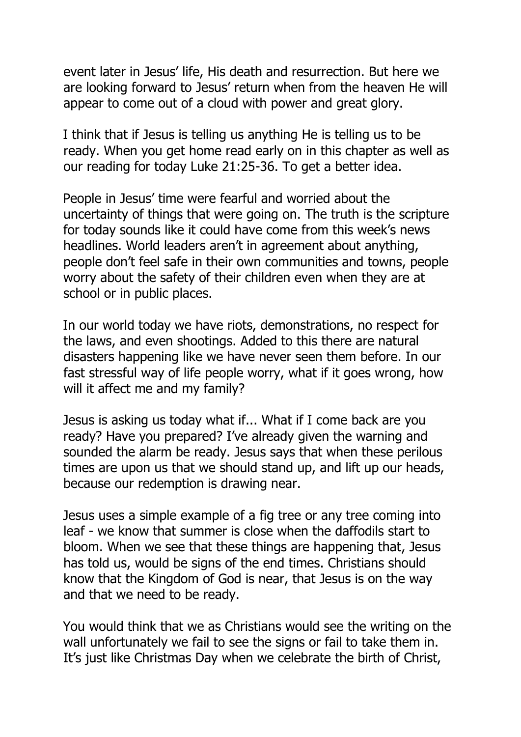event later in Jesus' life, His death and resurrection. But here we are looking forward to Jesus' return when from the heaven He will appear to come out of a cloud with power and great glory.

I think that if Jesus is telling us anything He is telling us to be ready. When you get home read early on in this chapter as well as our reading for today Luke 21:25-36. To get a better idea.

People in Jesus' time were fearful and worried about the uncertainty of things that were going on. The truth is the scripture for today sounds like it could have come from this week's news headlines. World leaders aren't in agreement about anything, people don't feel safe in their own communities and towns, people worry about the safety of their children even when they are at school or in public places.

In our world today we have riots, demonstrations, no respect for the laws, and even shootings. Added to this there are natural disasters happening like we have never seen them before. In our fast stressful way of life people worry, what if it goes wrong, how will it affect me and my family?

Jesus is asking us today what if... What if I come back are you ready? Have you prepared? I've already given the warning and sounded the alarm be ready. Jesus says that when these perilous times are upon us that we should stand up, and lift up our heads, because our redemption is drawing near.

Jesus uses a simple example of a fig tree or any tree coming into leaf - we know that summer is close when the daffodils start to bloom. When we see that these things are happening that, Jesus has told us, would be signs of the end times. Christians should know that the Kingdom of God is near, that Jesus is on the way and that we need to be ready.

You would think that we as Christians would see the writing on the wall unfortunately we fail to see the signs or fail to take them in. It's just like Christmas Day when we celebrate the birth of Christ,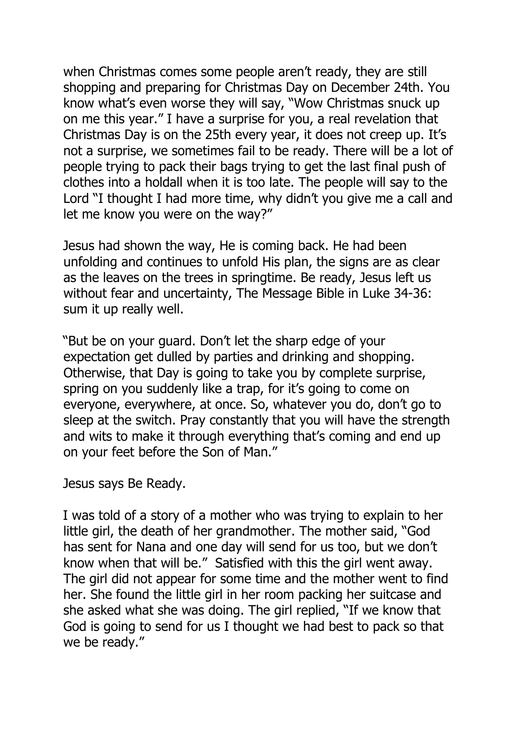when Christmas comes some people aren't ready, they are still shopping and preparing for Christmas Day on December 24th. You know what's even worse they will say, "Wow Christmas snuck up on me this year." I have a surprise for you, a real revelation that Christmas Day is on the 25th every year, it does not creep up. It's not a surprise, we sometimes fail to be ready. There will be a lot of people trying to pack their bags trying to get the last final push of clothes into a holdall when it is too late. The people will say to the Lord "I thought I had more time, why didn't you give me a call and let me know you were on the way?"

Jesus had shown the way, He is coming back. He had been unfolding and continues to unfold His plan, the signs are as clear as the leaves on the trees in springtime. Be ready, Jesus left us without fear and uncertainty, The Message Bible in Luke 34-36: sum it up really well.

"But be on your guard. Don't let the sharp edge of your expectation get dulled by parties and drinking and shopping. Otherwise, that Day is going to take you by complete surprise, spring on you suddenly like a trap, for it's going to come on everyone, everywhere, at once. So, whatever you do, don't go to sleep at the switch. Pray constantly that you will have the strength and wits to make it through everything that's coming and end up on your feet before the Son of Man."

Jesus says Be Ready.

I was told of a story of a mother who was trying to explain to her little girl, the death of her grandmother. The mother said, "God has sent for Nana and one day will send for us too, but we don't know when that will be." Satisfied with this the girl went away. The girl did not appear for some time and the mother went to find her. She found the little girl in her room packing her suitcase and she asked what she was doing. The girl replied, "If we know that God is going to send for us I thought we had best to pack so that we be ready."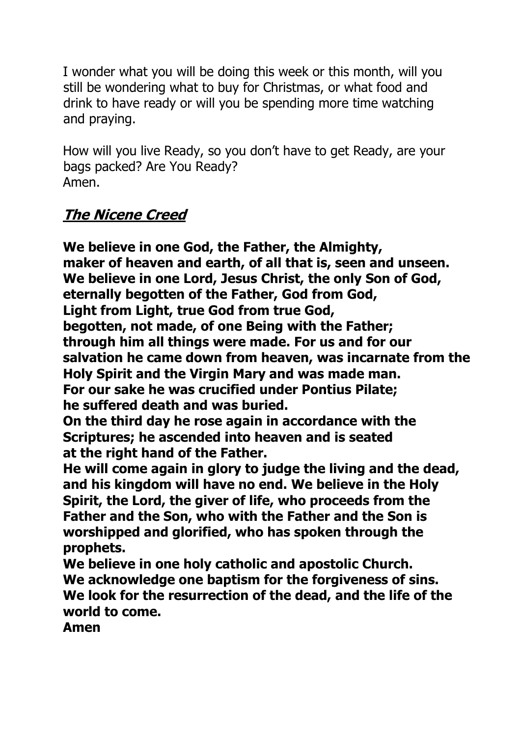I wonder what you will be doing this week or this month, will you still be wondering what to buy for Christmas, or what food and drink to have ready or will you be spending more time watching and praying.

How will you live Ready, so you don't have to get Ready, are your bags packed? Are You Ready? Amen.

# **The Nicene Creed**

**We believe in one God, the Father, the Almighty, maker of heaven and earth, of all that is, seen and unseen. We believe in one Lord, Jesus Christ, the only Son of God, eternally begotten of the Father, God from God, Light from Light, true God from true God, begotten, not made, of one Being with the Father; through him all things were made. For us and for our salvation he came down from heaven, was incarnate from the Holy Spirit and the Virgin Mary and was made man. For our sake he was crucified under Pontius Pilate; he suffered death and was buried.**

**On the third day he rose again in accordance with the Scriptures; he ascended into heaven and is seated at the right hand of the Father.**

**He will come again in glory to judge the living and the dead, and his kingdom will have no end. We believe in the Holy Spirit, the Lord, the giver of life, who proceeds from the Father and the Son, who with the Father and the Son is worshipped and glorified, who has spoken through the prophets.**

**We believe in one holy catholic and apostolic Church. We acknowledge one baptism for the forgiveness of sins. We look for the resurrection of the dead, and the life of the world to come.**

**Amen**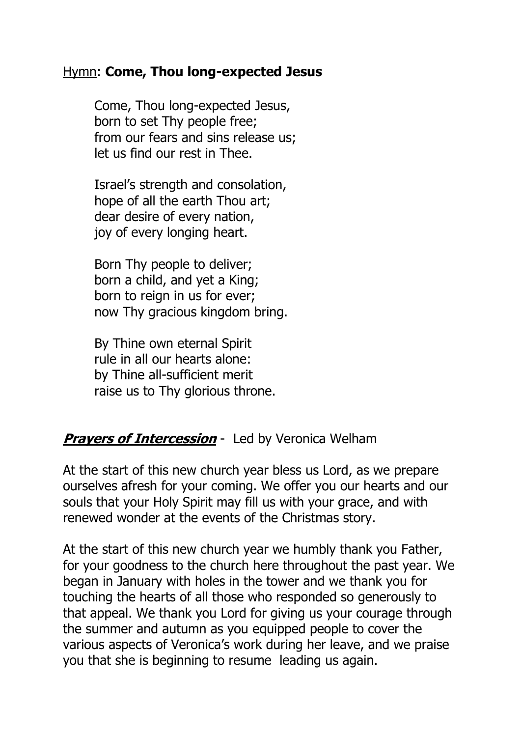#### Hymn: **Come, Thou long-expected Jesus**

Come, Thou long-expected Jesus, born to set Thy people free; from our fears and sins release us; let us find our rest in Thee.

Israel's strength and consolation, hope of all the earth Thou art; dear desire of every nation, joy of every longing heart.

Born Thy people to deliver; born a child, and yet a King; born to reign in us for ever; now Thy gracious kingdom bring.

By Thine own eternal Spirit rule in all our hearts alone: by Thine all-sufficient merit raise us to Thy glorious throne.

### *Pravers of Intercession* - Led by Veronica Welham

At the start of this new church year bless us Lord, as we prepare ourselves afresh for your coming. We offer you our hearts and our souls that your Holy Spirit may fill us with your grace, and with renewed wonder at the events of the Christmas story.

At the start of this new church year we humbly thank you Father, for your goodness to the church here throughout the past year. We began in January with holes in the tower and we thank you for touching the hearts of all those who responded so generously to that appeal. We thank you Lord for giving us your courage through the summer and autumn as you equipped people to cover the various aspects of Veronica's work during her leave, and we praise you that she is beginning to resume leading us again.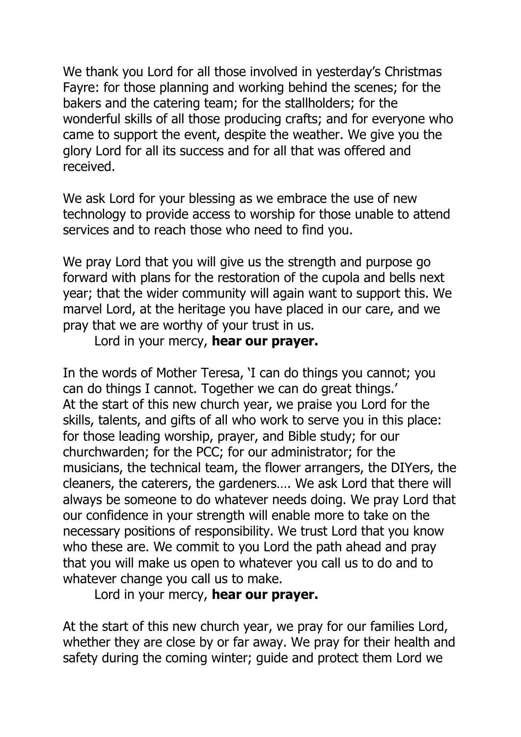We thank you Lord for all those involved in yesterday's Christmas Fayre: for those planning and working behind the scenes; for the bakers and the catering team; for the stallholders; for the wonderful skills of all those producing crafts; and for everyone who came to support the event, despite the weather. We give you the glory Lord for all its success and for all that was offered and received.

We ask Lord for your blessing as we embrace the use of new technology to provide access to worship for those unable to attend services and to reach those who need to find you.

We pray Lord that you will give us the strength and purpose go forward with plans for the restoration of the cupola and bells next year; that the wider community will again want to support this. We marvel Lord, at the heritage you have placed in our care, and we pray that we are worthy of your trust in us.

#### Lord in your mercy, **hear our prayer.**

In the words of Mother Teresa, 'I can do things you cannot; you can do things I cannot. Together we can do great things.' At the start of this new church year, we praise you Lord for the skills, talents, and gifts of all who work to serve you in this place: for those leading worship, prayer, and Bible study; for our churchwarden; for the PCC; for our administrator; for the musicians, the technical team, the flower arrangers, the DIYers, the cleaners, the caterers, the gardeners…. We ask Lord that there will always be someone to do whatever needs doing. We pray Lord that our confidence in your strength will enable more to take on the necessary positions of responsibility. We trust Lord that you know who these are. We commit to you Lord the path ahead and pray that you will make us open to whatever you call us to do and to whatever change you call us to make.

Lord in your mercy, **hear our prayer.**

At the start of this new church year, we pray for our families Lord, whether they are close by or far away. We pray for their health and safety during the coming winter; guide and protect them Lord we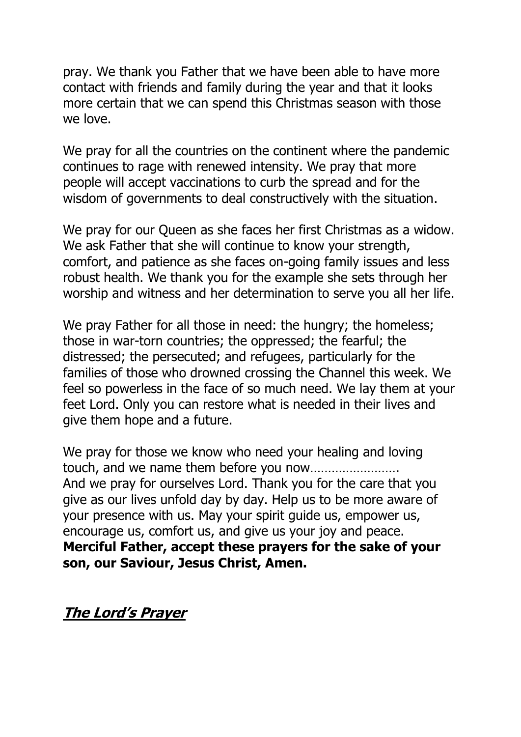pray. We thank you Father that we have been able to have more contact with friends and family during the year and that it looks more certain that we can spend this Christmas season with those we love.

We pray for all the countries on the continent where the pandemic continues to rage with renewed intensity. We pray that more people will accept vaccinations to curb the spread and for the wisdom of governments to deal constructively with the situation.

We pray for our Queen as she faces her first Christmas as a widow. We ask Father that she will continue to know your strength, comfort, and patience as she faces on-going family issues and less robust health. We thank you for the example she sets through her worship and witness and her determination to serve you all her life.

We pray Father for all those in need: the hungry; the homeless; those in war-torn countries; the oppressed; the fearful; the distressed; the persecuted; and refugees, particularly for the families of those who drowned crossing the Channel this week. We feel so powerless in the face of so much need. We lay them at your feet Lord. Only you can restore what is needed in their lives and give them hope and a future.

We pray for those we know who need your healing and loving touch, and we name them before you now……………………. And we pray for ourselves Lord. Thank you for the care that you give as our lives unfold day by day. Help us to be more aware of your presence with us. May your spirit guide us, empower us, encourage us, comfort us, and give us your joy and peace. **Merciful Father, accept these prayers for the sake of your son, our Saviour, Jesus Christ, Amen.**

**The Lord's Prayer**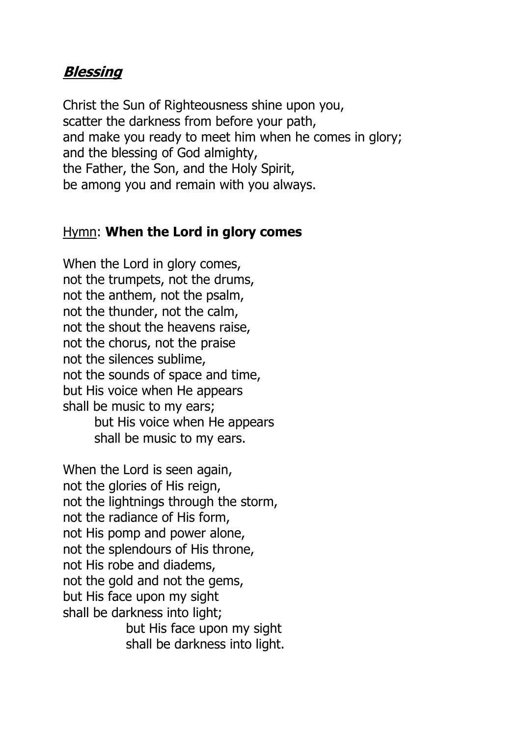### **Blessing**

Christ the Sun of Righteousness shine upon you, scatter the darkness from before your path, and make you ready to meet him when he comes in glory; and the blessing of God almighty, the Father, the Son, and the Holy Spirit, be among you and remain with you always.

#### Hymn: **When the Lord in glory comes**

When the Lord in glory comes, not the trumpets, not the drums, not the anthem, not the psalm, not the thunder, not the calm, not the shout the heavens raise, not the chorus, not the praise not the silences sublime, not the sounds of space and time, but His voice when He appears shall be music to my ears; but His voice when He appears shall be music to my ears.

When the Lord is seen again, not the glories of His reign, not the lightnings through the storm, not the radiance of His form, not His pomp and power alone, not the splendours of His throne, not His robe and diadems, not the gold and not the gems, but His face upon my sight shall be darkness into light; but His face upon my sight shall be darkness into light.